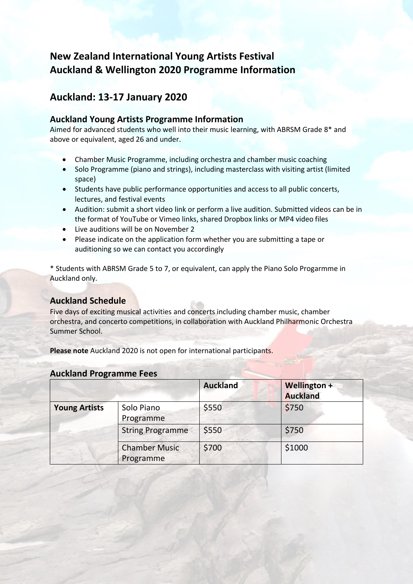# **New Zealand International Young Artists Festival Auckland & Wellington 2020 Programme Information**

## **Auckland: 13-17 January 2020**

### **Auckland Young Artists Programme Information**

Aimed for advanced students who well into their music learning, with ABRSM Grade 8\* and above or equivalent, aged 26 and under.

- Chamber Music Programme, including orchestra and chamber music coaching
- Solo Programme (piano and strings), including masterclass with visiting artist (limited space)
- Students have public performance opportunities and access to all public concerts, lectures, and festival events
- Audition: submit a short video link or perform a live audition. Submitted videos can be in the format of YouTube or Vimeo links, shared Dropbox links or MP4 video files
- Live auditions will be on November 2
- Please indicate on the application form whether you are submitting a tape or auditioning so we can contact you accordingly

\* Students with ABRSM Grade 5 to 7, or equivalent, can apply the Piano Solo Progarmme in Auckland only.

### **Auckland Schedule**

Five days of exciting musical activities and concerts including chamber music, chamber orchestra, and concerto competitions, in collaboration with Auckland Philharmonic Orchestra Summer School.

**Please note** Auckland 2020 is not open for international participants.

|                      |                                   | <b>Auckland</b> | Wellington +<br><b>Auckland</b> |
|----------------------|-----------------------------------|-----------------|---------------------------------|
| <b>Young Artists</b> | Solo Piano<br>Programme           | \$550           | \$750                           |
|                      | <b>String Programme</b>           | \$550           | \$750                           |
|                      | <b>Chamber Music</b><br>Programme | \$700           | \$1000                          |

### **Auckland Programme Fees**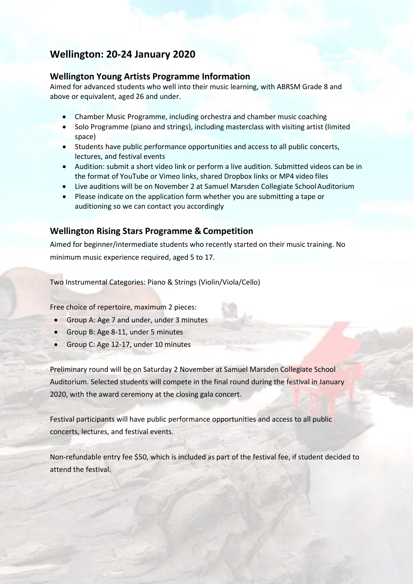## **Wellington: 20-24 January 2020**

### **Wellington Young Artists Programme Information**

Aimed for advanced students who well into their music learning, with ABRSM Grade 8 and above or equivalent, aged 26 and under.

- Chamber Music Programme, including orchestra and chamber music coaching
- Solo Programme (piano and strings), including masterclass with visiting artist (limited space)
- Students have public performance opportunities and access to all public concerts, lectures, and festival events
- Audition: submit a short video link or perform a live audition. Submitted videos can be in the format of YouTube or Vimeo links, shared Dropbox links or MP4 video files
- Live auditions will be on November 2 at Samuel Marsden Collegiate School Auditorium
- Please indicate on the application form whether you are submitting a tape or auditioning so we can contact you accordingly

### **Wellington Rising Stars Programme & Competition**

Aimed for beginner/intermediate students who recently started on their music training. No minimum music experience required, aged 5 to 17.

Two Instrumental Categories: Piano & Strings (Violin/Viola/Cello)

Free choice of repertoire, maximum 2 pieces:

- Group A: Age 7 and under, under 3 minutes
- Group B: Age 8-11, under 5 minutes
- Group C: Age 12-17, under 10 minutes

Preliminary round will be on Saturday 2 November at Samuel Marsden Collegiate School Auditorium. Selected students will compete in the final round during the festival in January 2020, with the award ceremony at the closing gala concert.

Festival participants will have public performance opportunities and access to all public concerts, lectures, and festival events.

Non-refundable entry fee \$50, which is included as part of the festival fee, if student decided to attend the festival.